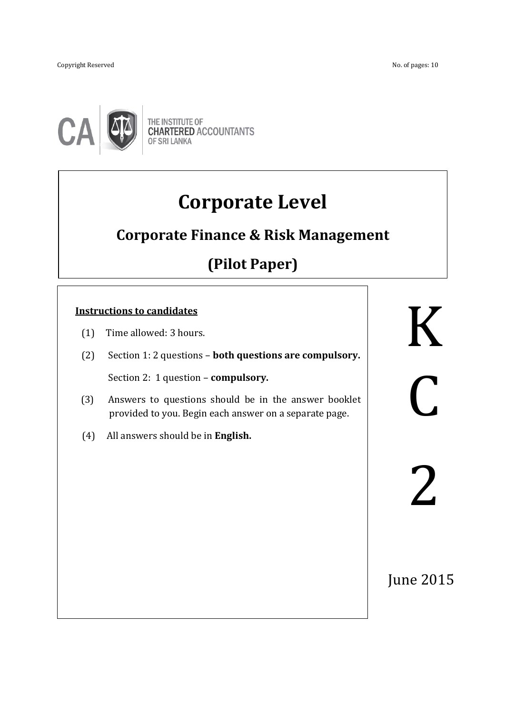Copyright ReservedNo. of pages: 10

֖֖֚֚֚֬



THE INSTITUTE OF<br>CHARTERED ACCOUNTANTS **OF SRI LANKA** 

# **Corporate Level**

## **Corporate Finance & Risk Management**

## **(Pilot Paper)**

## **Instructions to candidates**

- (1) Time allowed: 3 hours.
- (2) Section 1: 2 questions **both questions are compulsory.** Section 2: 1 question – **compulsory.**

ֺ֖֚֝֬

- (3) Answers to questions should be in the answer booklet provided to you. Begin each answer on a separate page.
- (4) All answers should be in **English.**

K K C C 2 2

June 2015 June 2015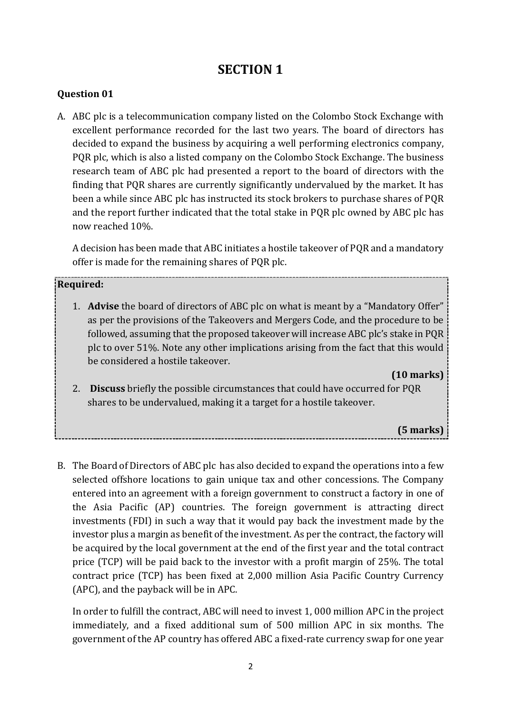## **SECTION 1**

#### **Question 01**

A. ABC plc is a telecommunication company listed on the Colombo Stock Exchange with excellent performance recorded for the last two years. The board of directors has decided to expand the business by acquiring a well performing electronics company, PQR plc, which is also a listed company on the Colombo Stock Exchange. The business research team of ABC plc had presented a report to the board of directors with the finding that PQR shares are currently significantly undervalued by the market. It has been a while since ABC plc has instructed its stock brokers to purchase shares of PQR and the report further indicated that the total stake in PQR plc owned by ABC plc has now reached 10%.

A decision has been made that ABC initiates a hostile takeover of PQR and a mandatory offer is made for the remaining shares of PQR plc.

#### **Required:**

1. **Advise** the board of directors of ABC plc on what is meant by a "Mandatory Offer" as per the provisions of the Takeovers and Mergers Code, and the procedure to be followed, assuming that the proposed takeover will increase ABC plc's stake in PQR plc to over 51%. Note any other implications arising from the fact that this would be considered a hostile takeover.

#### **(10 marks)**

2. **Discuss** briefly the possible circumstances that could have occurred for PQR shares to be undervalued, making it a target for a hostile takeover.

#### **(5 marks)**

B. The Board of Directors of ABC plc has also decided to expand the operations into a few selected offshore locations to gain unique tax and other concessions. The Company entered into an agreement with a foreign government to construct a factory in one of the Asia Pacific (AP) countries. The foreign government is attracting direct investments (FDI) in such a way that it would pay back the investment made by the investor plus a margin as benefit of the investment. As per the contract, the factory will be acquired by the local government at the end of the first year and the total contract price (TCP) will be paid back to the investor with a profit margin of 25%. The total contract price (TCP) has been fixed at 2,000 million Asia Pacific Country Currency (APC), and the payback will be in APC.

In order to fulfill the contract, ABC will need to invest 1, 000 million APC in the project immediately, and a fixed additional sum of 500 million APC in six months. The government of the AP country has offered ABC a fixed-rate currency swap for one year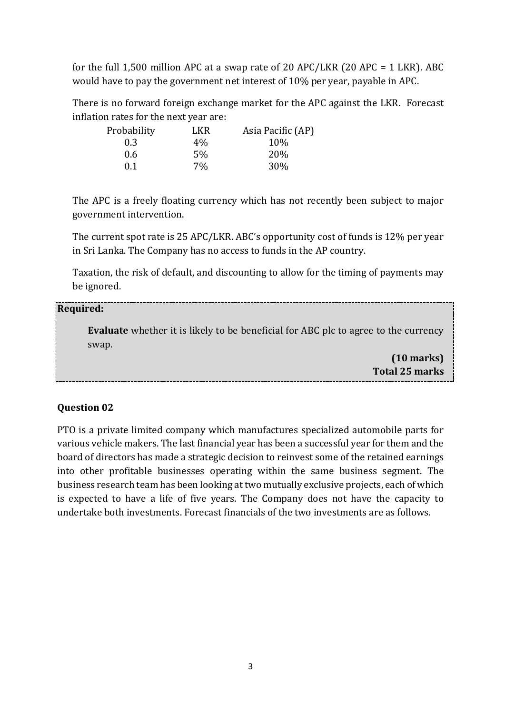for the full 1,500 million APC at a swap rate of 20 APC/LKR (20 APC = 1 LKR). ABC would have to pay the government net interest of 10% per year, payable in APC.

There is no forward foreign exchange market for the APC against the LKR. Forecast inflation rates for the next year are:

| Probability | LKR.  | Asia Pacific (AP) |
|-------------|-------|-------------------|
| 0.3         | $4\%$ | 10%               |
| 0.6         | 5%    | <b>20%</b>        |
| 0.1         | 7%    | 30%               |

The APC is a freely floating currency which has not recently been subject to major government intervention.

The current spot rate is 25 APC/LKR. ABC's opportunity cost of funds is 12% per year in Sri Lanka. The Company has no access to funds in the AP country.

Taxation, the risk of default, and discounting to allow for the timing of payments may be ignored.

#### **Required:**

**Evaluate** whether it is likely to be beneficial for ABC plc to agree to the currency swap.

> **(10 marks) Total 25 marks**

#### **Question 02**

PTO is a private limited company which manufactures specialized automobile parts for various vehicle makers. The last financial year has been a successful year for them and the board of directors has made a strategic decision to reinvest some of the retained earnings into other profitable businesses operating within the same business segment. The business research team has been looking at two mutually exclusive projects, each of which is expected to have a life of five years. The Company does not have the capacity to undertake both investments. Forecast financials of the two investments are as follows.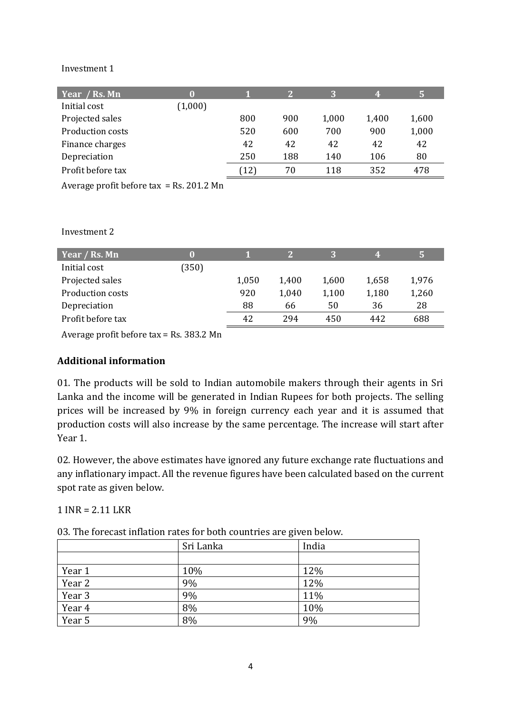#### Investment 1

| Year / Rs. Mn                            | 0       |      | $\mathbf{2}$ | 3     | 4     | 5     |
|------------------------------------------|---------|------|--------------|-------|-------|-------|
| Initial cost                             | (1,000) |      |              |       |       |       |
| Projected sales                          |         | 800  | 900          | 1,000 | 1,400 | 1,600 |
| Production costs                         |         | 520  | 600          | 700   | 900   | 1,000 |
| Finance charges                          |         | 42   | 42           | 42    | 42    | 42    |
| Depreciation                             |         | 250  | 188          | 140   | 106   | 80    |
| Profit before tax                        |         | [12] | 70           | 118   | 352   | 478   |
| Average profit before tax = Rs. 201.2 Mn |         |      |              |       |       |       |

Investment 2

| Year / Rs. Mn     |       |       |       |       | 4     |       |
|-------------------|-------|-------|-------|-------|-------|-------|
| Initial cost      | (350) |       |       |       |       |       |
| Projected sales   |       | 1,050 | 1,400 | 1,600 | 1,658 | 1,976 |
| Production costs  |       | 920   | 1,040 | 1,100 | 1,180 | 1,260 |
| Depreciation      |       | 88    | 66    | 50    | 36    | 28    |
| Profit before tax |       | 42    | 294   | 450   | 442   | 688   |

Average profit before tax = Rs. 383.2 Mn

#### **Additional information**

01. The products will be sold to Indian automobile makers through their agents in Sri Lanka and the income will be generated in Indian Rupees for both projects. The selling prices will be increased by 9% in foreign currency each year and it is assumed that production costs will also increase by the same percentage. The increase will start after Year 1.

02. However, the above estimates have ignored any future exchange rate fluctuations and any inflationary impact. All the revenue figures have been calculated based on the current spot rate as given below.

1 INR = 2.11 LKR

03. The forecast inflation rates for both countries are given below.

|        | Sri Lanka | India |
|--------|-----------|-------|
|        |           |       |
| Year 1 | 10%       | 12%   |
| Year 2 | 9%        | 12%   |
| Year 3 | 9%        | 11%   |
| Year 4 | 8%        | 10%   |
| Year 5 | 8%        | 9%    |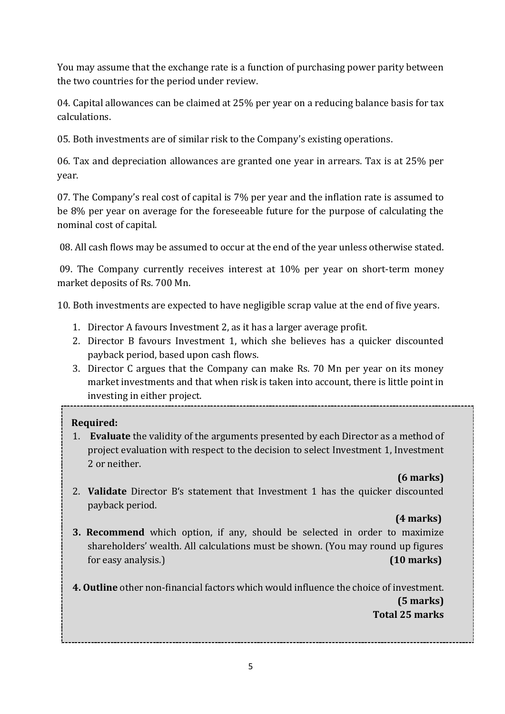You may assume that the exchange rate is a function of purchasing power parity between the two countries for the period under review.

04. Capital allowances can be claimed at 25% per year on a reducing balance basis for tax calculations.

05. Both investments are of similar risk to the Company's existing operations.

06. Tax and depreciation allowances are granted one year in arrears. Tax is at 25% per year.

07. The Company's real cost of capital is 7% per year and the inflation rate is assumed to be 8% per year on average for the foreseeable future for the purpose of calculating the nominal cost of capital.

08. All cash flows may be assumed to occur at the end of the year unless otherwise stated.

09. The Company currently receives interest at 10% per year on short-term money market deposits of Rs. 700 Mn.

10. Both investments are expected to have negligible scrap value at the end of five years.

- 1. Director A favours Investment 2, as it has a larger average profit.
- 2. Director B favours Investment 1, which she believes has a quicker discounted payback period, based upon cash flows.
- 3. Director C argues that the Company can make Rs. 70 Mn per year on its money market investments and that when risk is taken into account, there is little point in investing in either project.

## **Required:**

1. **Evaluate** the validity of the arguments presented by each Director as a method of project evaluation with respect to the decision to select Investment 1, Investment 2 or neither.

## **(6 marks)**

2. **Validate** Director B's statement that Investment 1 has the quicker discounted payback period.

## **(4 marks)**

- **3. Recommend** which option, if any, should be selected in order to maximize shareholders' wealth. All calculations must be shown. (You may round up figures for easy analysis.) **(10 marks)**
- **4. Outline** other non-financial factors which would influence the choice of investment.

 **(5 marks) Total 25 marks**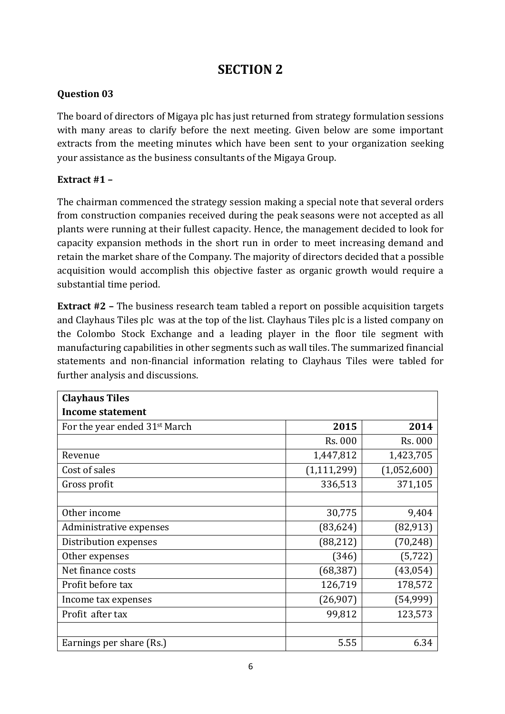## **SECTION 2**

## **Question 03**

The board of directors of Migaya plc has just returned from strategy formulation sessions with many areas to clarify before the next meeting. Given below are some important extracts from the meeting minutes which have been sent to your organization seeking your assistance as the business consultants of the Migaya Group.

#### **Extract #1 –**

The chairman commenced the strategy session making a special note that several orders from construction companies received during the peak seasons were not accepted as all plants were running at their fullest capacity. Hence, the management decided to look for capacity expansion methods in the short run in order to meet increasing demand and retain the market share of the Company. The majority of directors decided that a possible acquisition would accomplish this objective faster as organic growth would require a substantial time period.

**Extract #2 –** The business research team tabled a report on possible acquisition targets and Clayhaus Tiles plc was at the top of the list. Clayhaus Tiles plc is a listed company on the Colombo Stock Exchange and a leading player in the floor tile segment with manufacturing capabilities in other segments such as wall tiles. The summarized financial statements and non-financial information relating to Clayhaus Tiles were tabled for further analysis and discussions.

| <b>Clayhaus Tiles</b>                     |               |             |  |  |
|-------------------------------------------|---------------|-------------|--|--|
| <b>Income statement</b>                   |               |             |  |  |
| For the year ended 31 <sup>st</sup> March | 2015          | 2014        |  |  |
|                                           | Rs. 000       | Rs. 000     |  |  |
| Revenue                                   | 1,447,812     | 1,423,705   |  |  |
| Cost of sales                             | (1, 111, 299) | (1,052,600) |  |  |
| Gross profit                              | 336,513       | 371,105     |  |  |
|                                           |               |             |  |  |
| Other income                              | 30,775        | 9,404       |  |  |
| Administrative expenses                   | (83, 624)     | (82, 913)   |  |  |
| Distribution expenses                     | (88, 212)     | (70, 248)   |  |  |
| Other expenses                            | (346)         | (5, 722)    |  |  |
| Net finance costs                         | (68, 387)     | (43, 054)   |  |  |
| Profit before tax                         | 126,719       | 178,572     |  |  |
| Income tax expenses                       | (26,907)      | (54, 999)   |  |  |
| Profit after tax                          | 99,812        | 123,573     |  |  |
|                                           |               |             |  |  |
| Earnings per share (Rs.)                  | 5.55          | 6.34        |  |  |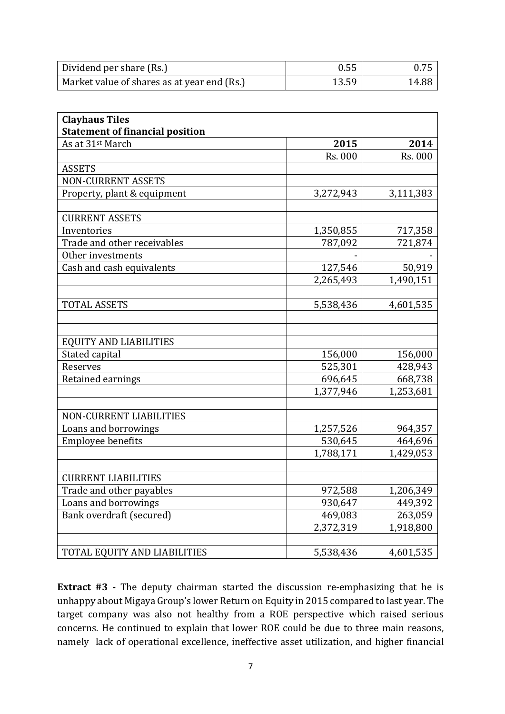| Dividend per share (Rs.)                    | 0.55  | 0.75  |
|---------------------------------------------|-------|-------|
| Market value of shares as at year end (Rs.) | 13.59 | 14.88 |

| <b>Clayhaus Tiles</b>                  |           |           |
|----------------------------------------|-----------|-----------|
| <b>Statement of financial position</b> |           |           |
| As at 31st March                       | 2015      | 2014      |
|                                        | Rs. 000   | Rs. 000   |
| <b>ASSETS</b>                          |           |           |
| <b>NON-CURRENT ASSETS</b>              |           |           |
| Property, plant & equipment            | 3,272,943 | 3,111,383 |
|                                        |           |           |
| <b>CURRENT ASSETS</b>                  |           |           |
| Inventories                            | 1,350,855 | 717,358   |
| Trade and other receivables            | 787,092   | 721,874   |
| Other investments                      |           |           |
| Cash and cash equivalents              | 127,546   | 50,919    |
|                                        | 2,265,493 | 1,490,151 |
|                                        |           |           |
| <b>TOTAL ASSETS</b>                    | 5,538,436 | 4,601,535 |
|                                        |           |           |
|                                        |           |           |
| <b>EQUITY AND LIABILITIES</b>          |           |           |
| Stated capital                         | 156,000   | 156,000   |
| Reserves                               | 525,301   | 428,943   |
| Retained earnings                      | 696,645   | 668,738   |
|                                        | 1,377,946 | 1,253,681 |
|                                        |           |           |
| <b>NON-CURRENT LIABILITIES</b>         |           |           |
| Loans and borrowings                   | 1,257,526 | 964,357   |
| Employee benefits                      | 530,645   | 464,696   |
|                                        | 1,788,171 | 1,429,053 |
|                                        |           |           |
| <b>CURRENT LIABILITIES</b>             |           |           |
| Trade and other payables               | 972,588   | 1,206,349 |
| Loans and borrowings                   | 930,647   | 449,392   |
| Bank overdraft (secured)               | 469,083   | 263,059   |
|                                        | 2,372,319 | 1,918,800 |
|                                        |           |           |
| TOTAL EQUITY AND LIABILITIES           | 5,538,436 | 4,601,535 |

**Extract #3 -** The deputy chairman started the discussion re-emphasizing that he is unhappy about Migaya Group's lower Return on Equity in 2015 compared to last year. The target company was also not healthy from a ROE perspective which raised serious concerns. He continued to explain that lower ROE could be due to three main reasons, namely lack of operational excellence, ineffective asset utilization, and higher financial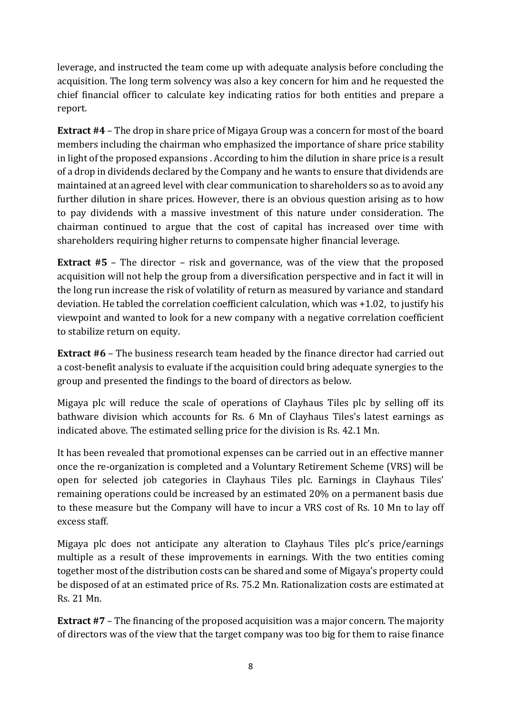leverage, and instructed the team come up with adequate analysis before concluding the acquisition. The long term solvency was also a key concern for him and he requested the chief financial officer to calculate key indicating ratios for both entities and prepare a report.

**Extract #4** – The drop in share price of Migaya Group was a concern for most of the board members including the chairman who emphasized the importance of share price stability in light of the proposed expansions . According to him the dilution in share price is a result of a drop in dividends declared by the Company and he wants to ensure that dividends are maintained at an agreed level with clear communication to shareholders so as to avoid any further dilution in share prices. However, there is an obvious question arising as to how to pay dividends with a massive investment of this nature under consideration. The chairman continued to argue that the cost of capital has increased over time with shareholders requiring higher returns to compensate higher financial leverage.

**Extract #5** – The director – risk and governance, was of the view that the proposed acquisition will not help the group from a diversification perspective and in fact it will in the long run increase the risk of volatility of return as measured by variance and standard deviation. He tabled the correlation coefficient calculation, which was +1.02, to justify his viewpoint and wanted to look for a new company with a negative correlation coefficient to stabilize return on equity.

**Extract #6** – The business research team headed by the finance director had carried out a cost-benefit analysis to evaluate if the acquisition could bring adequate synergies to the group and presented the findings to the board of directors as below.

Migaya plc will reduce the scale of operations of Clayhaus Tiles plc by selling off its bathware division which accounts for Rs. 6 Mn of Clayhaus Tiles's latest earnings as indicated above. The estimated selling price for the division is Rs. 42.1 Mn.

It has been revealed that promotional expenses can be carried out in an effective manner once the re-organization is completed and a Voluntary Retirement Scheme (VRS) will be open for selected job categories in Clayhaus Tiles plc. Earnings in Clayhaus Tiles' remaining operations could be increased by an estimated 20% on a permanent basis due to these measure but the Company will have to incur a VRS cost of Rs. 10 Mn to lay off excess staff.

Migaya plc does not anticipate any alteration to Clayhaus Tiles plc's price/earnings multiple as a result of these improvements in earnings. With the two entities coming together most of the distribution costs can be shared and some of Migaya's property could be disposed of at an estimated price of Rs. 75.2 Mn. Rationalization costs are estimated at Rs. 21 Mn.

**Extract #7** – The financing of the proposed acquisition was a major concern. The majority of directors was of the view that the target company was too big for them to raise finance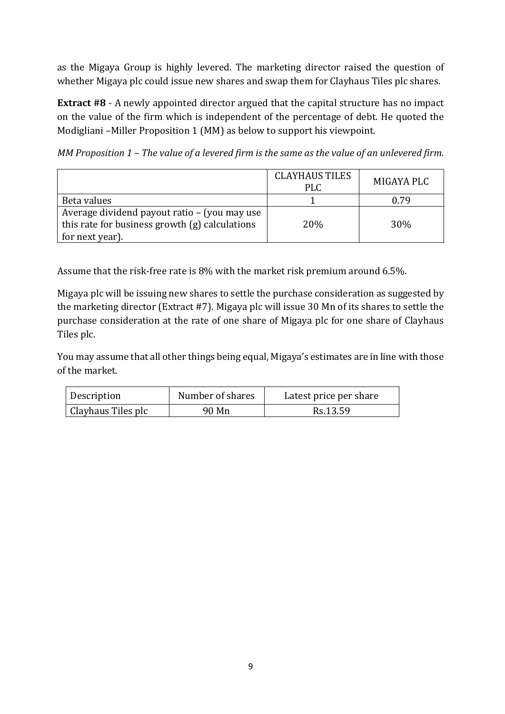as the Migaya Group is highly levered. The marketing director raised the question of whether Migaya plc could issue new shares and swap them for Clayhaus Tiles plc shares.

**Extract #8** - A newly appointed director argued that the capital structure has no impact on the value of the firm which is independent of the percentage of debt. He quoted the Modigliani –Miller Proposition 1 (MM) as below to support his viewpoint.

*MM Proposition 1 – The value of a levered firm is the same as the value of an unlevered firm.*

|                                                                                                | <b>CLAYHAUS TILES</b><br><b>PLC</b> | MIGAYA PLC |
|------------------------------------------------------------------------------------------------|-------------------------------------|------------|
| Beta values                                                                                    |                                     | 0.79       |
| Average dividend payout ratio - (you may use<br>this rate for business growth (g) calculations | 20%                                 | 30%        |
| for next year).                                                                                |                                     |            |

Assume that the risk-free rate is 8% with the market risk premium around 6.5%.

Migaya plc will be issuing new shares to settle the purchase consideration as suggested by the marketing director (Extract #7). Migaya plc will issue 30 Mn of its shares to settle the purchase consideration at the rate of one share of Migaya plc for one share of Clayhaus Tiles plc.

You may assume that all other things being equal, Migaya's estimates are in line with those of the market.

| Description        | Number of shares | Latest price per share |
|--------------------|------------------|------------------------|
| Clayhaus Tiles plc | 90 Mn            | Rs.13.59               |